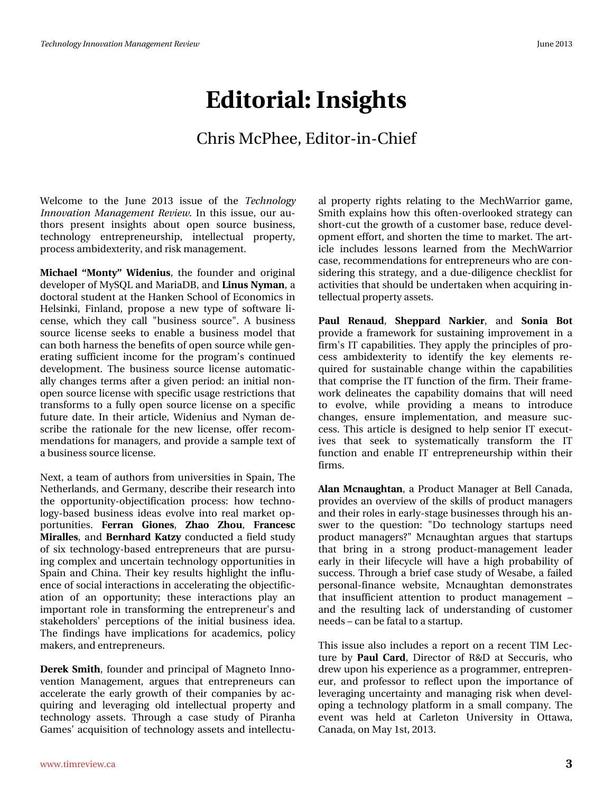## **Editorial: Insights**

## Chris McPhee, Editor-in-Chief

Welcome to the June 2013 issue of the *Technology Innovation Management Review*. In this issue, our authors present insights about open source business, technology entrepreneurship, intellectual property, process ambidexterity, and risk management.

**Michael "Monty" Widenius**, the founder and original developer of MySQL and MariaDB, and **Linus Nyman**, a doctoral student at the Hanken School of Economics in Helsinki, Finland, propose a new type of software license, which they call "business source". A business source license seeks to enable a business model that can both harness the benefits of open source while generating sufficient income for the program's continued development. The business source license automatically changes terms after a given period: an initial nonopen source license with specific usage restrictions that transforms to a fully open source license on a specific future date. In their article, Widenius and Nyman describe the rationale for the new license, offer recommendations for managers, and provide a sample text of a business source license.

Next, a team of authors from universities in Spain, The Netherlands, and Germany, describe their research into the opportunity-objectification process: how technology-based business ideas evolve into real market opportunities. **Ferran Giones**, **Zhao Zhou**, **Francesc Miralles**, and **Bernhard Katzy** conducted a field study of six technology-based entrepreneurs that are pursuing complex and uncertain technology opportunities in Spain and China. Their key results highlight the influence of social interactions in accelerating the objectification of an opportunity; these interactions play an important role in transforming the entrepreneur's and stakeholders' perceptions of the initial business idea. The findings have implications for academics, policy makers, and entrepreneurs.

**Derek Smith**, founder and principal of Magneto Innovention Management, argues that entrepreneurs can accelerate the early growth of their companies by acquiring and leveraging old intellectual property and technology assets. Through a case study of Piranha Games' acquisition of technology assets and intellectual property rights relating to the MechWarrior game, Smith explains how this often-overlooked strategy can short-cut the growth of a customer base, reduce development effort, and shorten the time to market. The article includes lessons learned from the MechWarrior case, recommendations for entrepreneurs who are considering this strategy, and a due-diligence checklist for activities that should be undertaken when acquiring intellectual property assets.

**Paul Renaud**, **Sheppard Narkier**, and **Sonia Bot** provide a framework for sustaining improvement in a firm's IT capabilities. They apply the principles of process ambidexterity to identify the key elements required for sustainable change within the capabilities that comprise the IT function of the firm. Their framework delineates the capability domains that will need to evolve, while providing a means to introduce changes, ensure implementation, and measure success. This article is designed to help senior IT executives that seek to systematically transform the IT function and enable IT entrepreneurship within their firms.

**Alan Mcnaughtan**, a Product Manager at Bell Canada, provides an overview of the skills of product managers and their roles in early-stage businesses through his answer to the question: "Do technology startups need product managers?" Mcnaughtan argues that startups that bring in a strong product-management leader early in their lifecycle will have a high probability of success. Through a brief case study of Wesabe, a failed personal-finance website, Mcnaughtan demonstrates that insufficient attention to product management – and the resulting lack of understanding of customer needs – can be fatal to a startup.

This issue also includes a report on a recent TIM Lecture by **Paul Card**, Director of R&D at Seccuris, who drew upon his experience as a programmer, entrepreneur, and professor to reflect upon the importance of leveraging uncertainty and managing risk when developing a technology platform in a small company. The event was held at Carleton University in Ottawa, Canada, on May 1st, 2013.